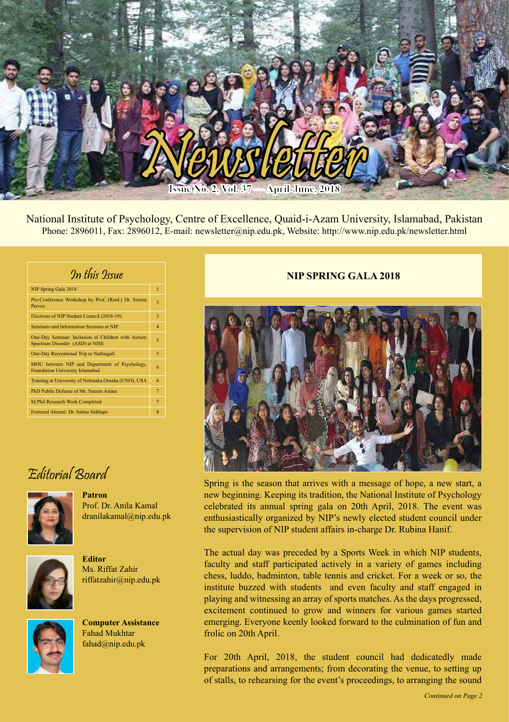

National Institute of Psychology, Centre of Excellence, Quaid-i-Azam University, Islamabad, Pakistan Phone: 2896011, Fax: 2896012, E-mail: newsletter@nip.edu.pk, Website: http://www.nip.edu.pk/newsletter.html

| In this Issue                                                                         |                |
|---------------------------------------------------------------------------------------|----------------|
| NIP Spring Gala 2018                                                                  | $\overline{1}$ |
| Pre-Conference Workshop by Prof. (Retd.) Dr. Seema<br>Pervez                          | 3              |
| Elections of NIP Student Council (2018-19)                                            | 3              |
| Seminars and Information Sessions at NIP                                              | $\overline{4}$ |
| One-Day Seminar: Inclusion of Children with Autism<br>Spectrum Disorder (ASD) at NISE | 5              |
| One-Day Recreational Trip to Nathiagali                                               | 5              |
| MOU between NIP and Department of Psychology,<br>Foundation University Islamabad      | 6              |
| Training at University of Nebraska Omaha (UNO), USA                                   | 6              |
| PhD Public Defense of Mr. Naeem Aslam                                                 | $\overline{7}$ |
| M.Phil Research Work Completed                                                        | $\overline{7}$ |
| Featured Alumni: Dr. Salma Siddiqui                                                   | $\overline{8}$ |

# Editorial Board



**Patron** Prof. Dr. Anila Kamal dranilakamal@nip.edu.pk



Ms. Riffat Zahir riffatzahir@nip.edu.pk

**Editor**



**Computer Assistance** Fahad Mukhtar fahad@nip.edu.pk

## **NIP SPRING GALA 2018**



Spring is the season that arrives with a message of hope, a new start, a new beginning. Keeping its tradition, the National Institute of Psychology celebrated its annual spring gala on 20th April, 2018. The event was enthusiastically organized by NIP's newly elected student council under the supervision of NIP student affairs in-charge Dr. Rubina Hanif.

The actual day was preceded by a Sports Week in which NIP students, faculty and staff participated actively in a variety of games including chess, luddo, badminton, table tennis and cricket. For a week or so, the institute buzzed with students and even faculty and staff engaged in playing and witnessing an array of sports matches. As the days progressed, excitement continued to grow and winners for various games started emerging. Everyone keenly looked forward to the culmination of fun and frolic on 20th April.

For 20th April, 2018, the student council had dedicatedly made preparations and arrangements; from decorating the venue, to setting up of stalls, to rehearsing for the event's proceedings, to arranging the sound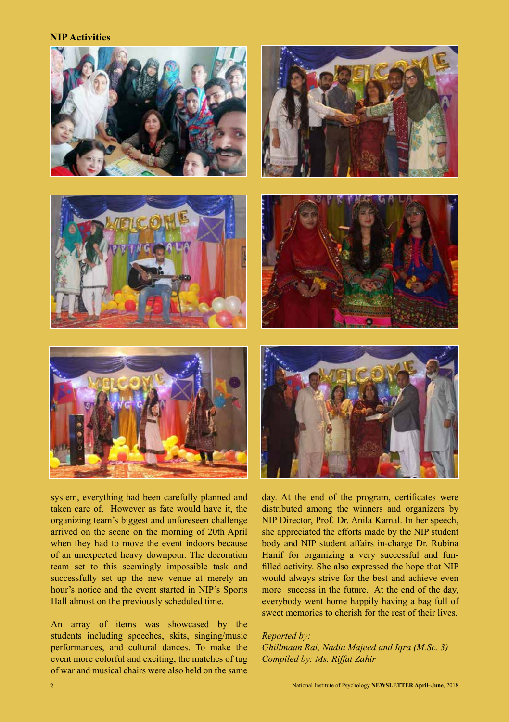**NIP Activities**













system, everything had been carefully planned and taken care of. However as fate would have it, the organizing team's biggest and unforeseen challenge arrived on the scene on the morning of 20th April when they had to move the event indoors because of an unexpected heavy downpour. The decoration team set to this seemingly impossible task and successfully set up the new venue at merely an hour's notice and the event started in NIP's Sports Hall almost on the previously scheduled time.

An array of items was showcased by the students including speeches, skits, singing/music performances, and cultural dances. To make the event more colorful and exciting, the matches of tug of war and musical chairs were also held on the same

day. At the end of the program, certificates were distributed among the winners and organizers by NIP Director, Prof. Dr. Anila Kamal. In her speech, she appreciated the efforts made by the NIP student body and NIP student affairs in-charge Dr. Rubina Hanif for organizing a very successful and funfilled activity. She also expressed the hope that NIP would always strive for the best and achieve even more success in the future. At the end of the day, everybody went home happily having a bag full of sweet memories to cherish for the rest of their lives.

### *Reported by:*

*Ghillmaan Rai, Nadia Majeed and Iqra (M.Sc. 3) Compiled by: Ms. Riffat Zahir*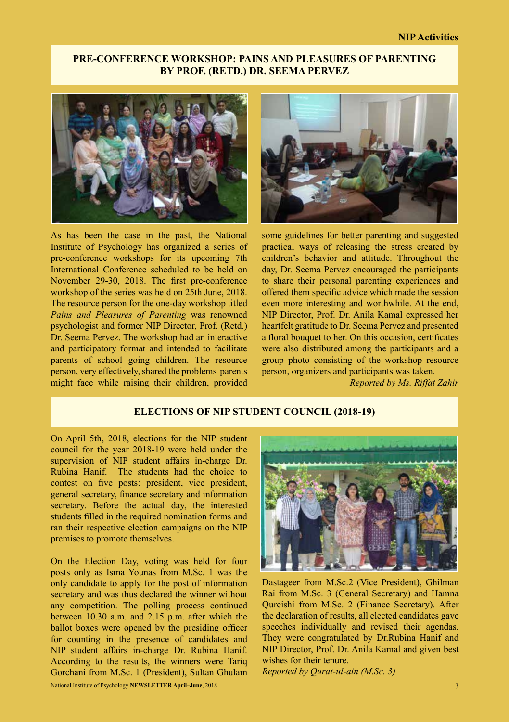## **PRE-CONFERENCE WORKSHOP: PAINS AND PLEASURES OF PARENTING BY PROF. (RETD.) DR. SEEMA PERVEZ**



As has been the case in the past, the National Institute of Psychology has organized a series of pre-conference workshops for its upcoming 7th International Conference scheduled to be held on November 29-30, 2018. The first pre-conference workshop of the series was held on 25th June, 2018. The resource person for the one-day workshop titled *Pains and Pleasures of Parenting* was renowned psychologist and former NIP Director, Prof. (Retd.) Dr. Seema Pervez. The workshop had an interactive and participatory format and intended to facilitate parents of school going children. The resource person, very effectively, shared the problems parents might face while raising their children, provided



some guidelines for better parenting and suggested practical ways of releasing the stress created by children's behavior and attitude. Throughout the day, Dr. Seema Pervez encouraged the participants to share their personal parenting experiences and offered them specific advice which made the session even more interesting and worthwhile. At the end, NIP Director, Prof. Dr. Anila Kamal expressed her heartfelt gratitude to Dr. Seema Pervez and presented a floral bouquet to her. On this occasion, certificates were also distributed among the participants and a group photo consisting of the workshop resource person, organizers and participants was taken.

*Reported by Ms. Riffat Zahir*

### **ELECTIONS OF NIP STUDENT COUNCIL (2018-19)**

On April 5th, 2018, elections for the NIP student council for the year 2018-19 were held under the supervision of NIP student affairs in-charge Dr. Rubina Hanif. The students had the choice to contest on five posts: president, vice president, general secretary, finance secretary and information secretary. Before the actual day, the interested students filled in the required nomination forms and ran their respective election campaigns on the NIP premises to promote themselves.

On the Election Day, voting was held for four posts only as Isma Younas from M.Sc. 1 was the only candidate to apply for the post of information secretary and was thus declared the winner without any competition. The polling process continued between 10.30 a.m. and 2.15 p.m. after which the ballot boxes were opened by the presiding officer for counting in the presence of candidates and NIP student affairs in-charge Dr. Rubina Hanif. According to the results, the winners were Tariq Gorchani from M.Sc. 1 (President), Sultan Ghulam



Dastageer from M.Sc.2 (Vice President), Ghilman Rai from M.Sc. 3 (General Secretary) and Hamna Qureishi from M.Sc. 2 (Finance Secretary). After the declaration of results, all elected candidates gave speeches individually and revised their agendas. They were congratulated by Dr.Rubina Hanif and NIP Director, Prof. Dr. Anila Kamal and given best wishes for their tenure.

*Reported by Qurat-ul-ain (M.Sc. 3)*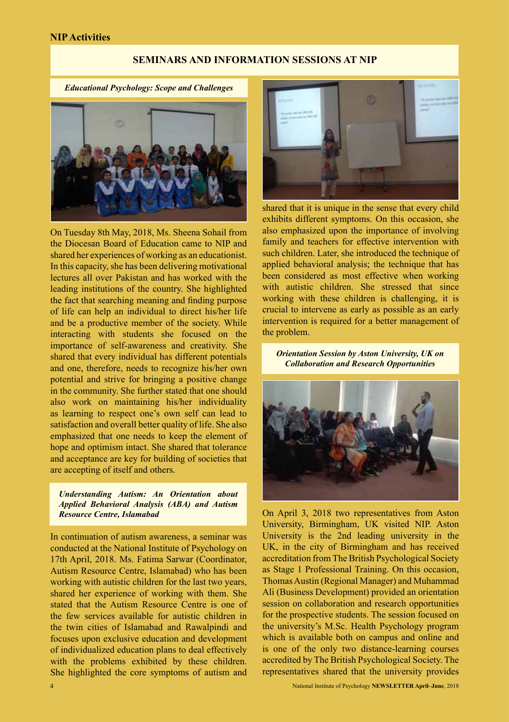#### **NIP Activities**

#### **SEMINARS AND INFORMATION SESSIONS AT NIP**

*Educational Psychology: Scope and Challenges*



On Tuesday 8th May, 2018, Ms. Sheena Sohail from the Diocesan Board of Education came to NIP and shared her experiences of working as an educationist. In this capacity, she has been delivering motivational lectures all over Pakistan and has worked with the leading institutions of the country. She highlighted the fact that searching meaning and finding purpose of life can help an individual to direct his/her life and be a productive member of the society. While interacting with students she focused on the importance of self-awareness and creativity. She shared that every individual has different potentials and one, therefore, needs to recognize his/her own potential and strive for bringing a positive change in the community. She further stated that one should also work on maintaining his/her individuality as learning to respect one's own self can lead to satisfaction and overall better quality of life. She also emphasized that one needs to keep the element of hope and optimism intact. She shared that tolerance and acceptance are key for building of societies that are accepting of itself and others.

*Understanding Autism: An Orientation about Applied Behavioral Analysis (ABA) and Autism Resource Centre, Islamabad*

In continuation of autism awareness, a seminar was conducted at the National Institute of Psychology on 17th April, 2018. Ms. Fatima Sarwar (Coordinator, Autism Resource Centre, Islamabad) who has been working with autistic children for the last two years, shared her experience of working with them. She stated that the Autism Resource Centre is one of the few services available for autistic children in the twin cities of Islamabad and Rawalpindi and focuses upon exclusive education and development of individualized education plans to deal effectively with the problems exhibited by these children. She highlighted the core symptoms of autism and



shared that it is unique in the sense that every child exhibits different symptoms. On this occasion, she also emphasized upon the importance of involving family and teachers for effective intervention with such children. Later, she introduced the technique of applied behavioral analysis; the technique that has been considered as most effective when working with autistic children. She stressed that since working with these children is challenging, it is crucial to intervene as early as possible as an early intervention is required for a better management of the problem.

*Orientation Session by Aston University, UK on Collaboration and Research Opportunities*



On April 3, 2018 two representatives from Aston University, Birmingham, UK visited NIP. Aston University is the 2nd leading university in the UK, in the city of Birmingham and has received accreditation from The British Psychological Society as Stage 1 Professional Training. On this occasion, Thomas Austin (Regional Manager) and Muhammad Ali (Business Development) provided an orientation session on collaboration and research opportunities for the prospective students. The session focused on the university's M.Sc. Health Psychology program which is available both on campus and online and is one of the only two distance-learning courses accredited by The British Psychological Society. The representatives shared that the university provides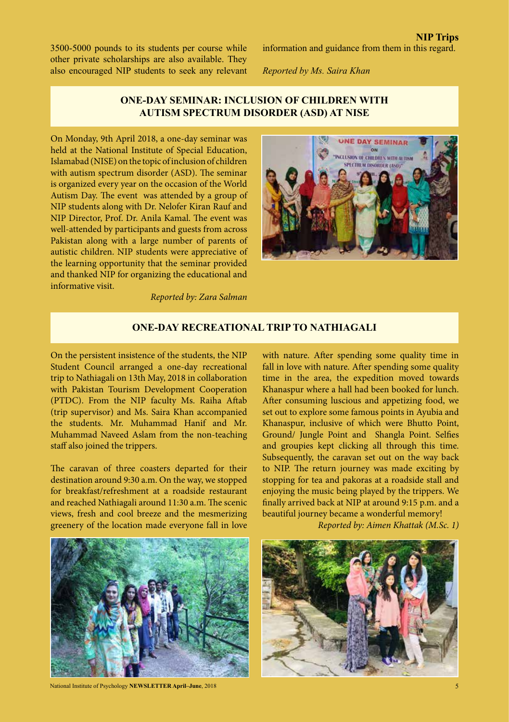3500-5000 pounds to its students per course while other private scholarships are also available. They also encouraged NIP students to seek any relevant

*Reported by Ms. Saira Khan*

## **ONE-DAY SEMINAR: INCLUSION OF CHILDREN WITH AUTISM SPECTRUM DISORDER (ASD) AT NISE**

On Monday, 9th April 2018, a one-day seminar was held at the National Institute of Special Education, Islamabad (NISE) on the topic of inclusion of children with autism spectrum disorder (ASD). The seminar is organized every year on the occasion of the World Autism Day. The event was attended by a group of NIP students along with Dr. Nelofer Kiran Rauf and NIP Director, Prof. Dr. Anila Kamal. The event was well-attended by participants and guests from across Pakistan along with a large number of parents of autistic children. NIP students were appreciative of the learning opportunity that the seminar provided and thanked NIP for organizing the educational and informative visit.



*Reported by: Zara Salman* 

### **ONE-DAY RECREATIONAL TRIP TO NATHIAGALI**

On the persistent insistence of the students, the NIP Student Council arranged a one-day recreational trip to Nathiagali on 13th May, 2018 in collaboration with Pakistan Tourism Development Cooperation (PTDC). From the NIP faculty Ms. Raiha Aftab (trip supervisor) and Ms. Saira Khan accompanied the students. Mr. Muhammad Hanif and Mr. Muhammad Naveed Aslam from the non-teaching staff also joined the trippers.

The caravan of three coasters departed for their destination around 9:30 a.m. On the way, we stopped for breakfast/refreshment at a roadside restaurant and reached Nathiagali around 11:30 a.m. The scenic views, fresh and cool breeze and the mesmerizing greenery of the location made everyone fall in love

with nature. After spending some quality time in fall in love with nature. After spending some quality time in the area, the expedition moved towards Khanaspur where a hall had been booked for lunch. After consuming luscious and appetizing food, we set out to explore some famous points in Ayubia and Khanaspur, inclusive of which were Bhutto Point, Ground/ Jungle Point and Shangla Point. Selfies and groupies kept clicking all through this time. Subsequently, the caravan set out on the way back to NIP. The return journey was made exciting by stopping for tea and pakoras at a roadside stall and enjoying the music being played by the trippers. We finally arrived back at NIP at around 9:15 p.m. and a beautiful journey became a wonderful memory!

*Reported by: Aimen Khattak (M.Sc. 1)*



National Institute of Psychology **NEWSLETTER April–June**, 2018

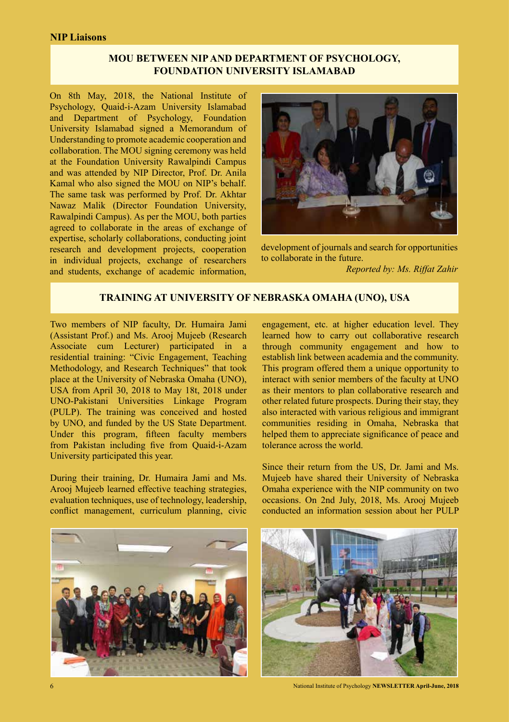## **MOU BETWEEN NIP AND DEPARTMENT OF PSYCHOLOGY, FOUNDATION UNIVERSITY ISLAMABAD**

On 8th May, 2018, the National Institute of Psychology, Quaid-i-Azam University Islamabad and Department of Psychology, Foundation University Islamabad signed a Memorandum of Understanding to promote academic cooperation and collaboration. The MOU signing ceremony was held at the Foundation University Rawalpindi Campus and was attended by NIP Director, Prof. Dr. Anila Kamal who also signed the MOU on NIP's behalf. The same task was performed by Prof. Dr. Akhtar Nawaz Malik (Director Foundation University, Rawalpindi Campus). As per the MOU, both parties agreed to collaborate in the areas of exchange of expertise, scholarly collaborations, conducting joint research and development projects, cooperation in individual projects, exchange of researchers and students, exchange of academic information,



development of journals and search for opportunities to collaborate in the future.

*Reported by: Ms. Riffat Zahir*

## **TRAINING AT UNIVERSITY OF NEBRASKA OMAHA (UNO), USA**

Two members of NIP faculty, Dr. Humaira Jami (Assistant Prof.) and Ms. Arooj Mujeeb (Research Associate cum Lecturer) participated in a residential training: "Civic Engagement, Teaching Methodology, and Research Techniques" that took place at the University of Nebraska Omaha (UNO), USA from April 30, 2018 to May 18t, 2018 under UNO-Pakistani Universities Linkage Program (PULP). The training was conceived and hosted by UNO, and funded by the US State Department. Under this program, fifteen faculty members from Pakistan including five from Quaid-i-Azam University participated this year.

During their training, Dr. Humaira Jami and Ms. Arooj Mujeeb learned effective teaching strategies, evaluation techniques, use of technology, leadership, conflict management, curriculum planning, civic

engagement, etc. at higher education level. They learned how to carry out collaborative research through community engagement and how to establish link between academia and the community. This program offered them a unique opportunity to interact with senior members of the faculty at UNO as their mentors to plan collaborative research and other related future prospects. During their stay, they also interacted with various religious and immigrant communities residing in Omaha, Nebraska that helped them to appreciate significance of peace and tolerance across the world.

Since their return from the US, Dr. Jami and Ms. Mujeeb have shared their University of Nebraska Omaha experience with the NIP community on two occasions. On 2nd July, 2018, Ms. Arooj Mujeeb conducted an information session about her PULP





6 National Institute of Psychology **NEWSLETTER April-June, 2018**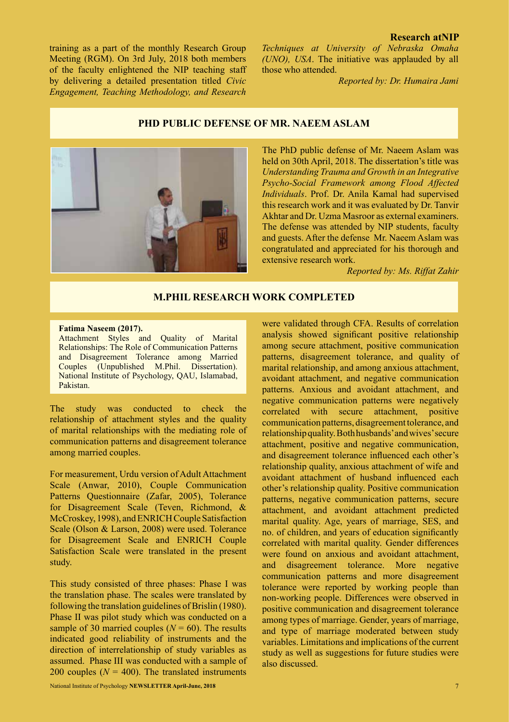#### **Research atNIP**

training as a part of the monthly Research Group Meeting (RGM). On 3rd July, 2018 both members of the faculty enlightened the NIP teaching staff by delivering a detailed presentation titled *Civic Engagement, Teaching Methodology, and Research* 

*Techniques at University of Nebraska Omaha (UNO), USA*. The initiative was applauded by all those who attended.

*Reported by: Dr. Humaira Jami*

#### **PHD PUBLIC DEFENSE OF MR. NAEEM ASLAM**



The PhD public defense of Mr. Naeem Aslam was held on 30th April, 2018. The dissertation's title was *Understanding Trauma and Growth in an Integrative Psycho-Social Framework among Flood Affected Individuals*. Prof. Dr. Anila Kamal had supervised this research work and it was evaluated by Dr. Tanvir Akhtar and Dr. Uzma Masroor as external examiners. The defense was attended by NIP students, faculty and guests. After the defense Mr. Naeem Aslam was congratulated and appreciated for his thorough and extensive research work.

*Reported by: Ms. Riffat Zahir*

#### **M.PHIL RESEARCH WORK COMPLETED**

#### **Fatima Naseem (2017).**

Attachment Styles and Quality of Marital Relationships: The Role of Communication Patterns and Disagreement Tolerance among Married Couples (Unpublished M.Phil. Dissertation). National Institute of Psychology, QAU, Islamabad, Pakistan.

The study was conducted to check the relationship of attachment styles and the quality of marital relationships with the mediating role of communication patterns and disagreement tolerance among married couples.

For measurement, Urdu version of Adult Attachment Scale (Anwar, 2010), Couple Communication Patterns Questionnaire (Zafar, 2005), Tolerance for Disagreement Scale (Teven, Richmond, & McCroskey, 1998), and ENRICH Couple Satisfaction Scale (Olson & Larson, 2008) were used. Tolerance for Disagreement Scale and ENRICH Couple Satisfaction Scale were translated in the present study.

This study consisted of three phases: Phase I was the translation phase. The scales were translated by following the translation guidelines of Brislin (1980). Phase II was pilot study which was conducted on a sample of 30 married couples  $(N = 60)$ . The results indicated good reliability of instruments and the direction of interrelationship of study variables as assumed. Phase III was conducted with a sample of 200 couples  $(N = 400)$ . The translated instruments

were validated through CFA. Results of correlation analysis showed significant positive relationship among secure attachment, positive communication patterns, disagreement tolerance, and quality of marital relationship, and among anxious attachment, avoidant attachment, and negative communication patterns. Anxious and avoidant attachment, and negative communication patterns were negatively correlated with secure attachment, positive communication patterns, disagreement tolerance, and relationship quality. Both husbands' and wives' secure attachment, positive and negative communication, and disagreement tolerance influenced each other's relationship quality, anxious attachment of wife and avoidant attachment of husband influenced each other's relationship quality. Positive communication patterns, negative communication patterns, secure attachment, and avoidant attachment predicted marital quality. Age, years of marriage, SES, and no. of children, and years of education significantly correlated with marital quality. Gender differences were found on anxious and avoidant attachment, and disagreement tolerance. More negative communication patterns and more disagreement tolerance were reported by working people than non-working people. Differences were observed in positive communication and disagreement tolerance among types of marriage. Gender, years of marriage, and type of marriage moderated between study variables. Limitations and implications of the current study as well as suggestions for future studies were also discussed.